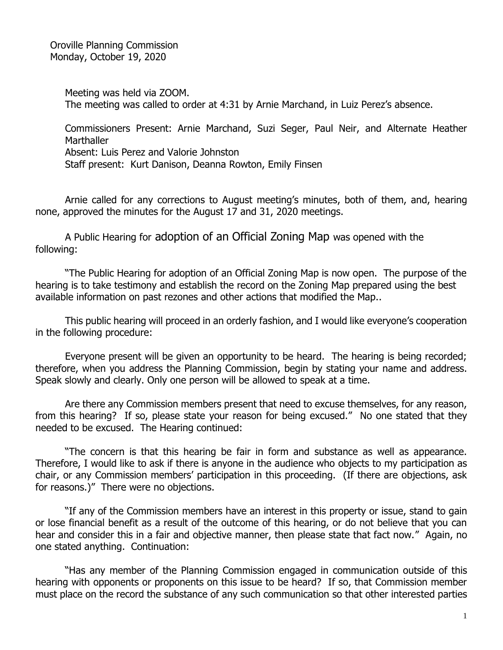Oroville Planning Commission Monday, October 19, 2020

> Meeting was held via ZOOM. The meeting was called to order at 4:31 by Arnie Marchand, in Luiz Perez's absence.

Commissioners Present: Arnie Marchand, Suzi Seger, Paul Neir, and Alternate Heather **Marthaller** Absent: Luis Perez and Valorie Johnston Staff present: Kurt Danison, Deanna Rowton, Emily Finsen

Arnie called for any corrections to August meeting's minutes, both of them, and, hearing none, approved the minutes for the August 17 and 31, 2020 meetings.

A Public Hearing for adoption of an Official Zoning Map was opened with the following:

"The Public Hearing for adoption of an Official Zoning Map is now open. The purpose of the hearing is to take testimony and establish the record on the Zoning Map prepared using the best available information on past rezones and other actions that modified the Map..

This public hearing will proceed in an orderly fashion, and I would like everyone's cooperation in the following procedure:

Everyone present will be given an opportunity to be heard. The hearing is being recorded; therefore, when you address the Planning Commission, begin by stating your name and address. Speak slowly and clearly. Only one person will be allowed to speak at a time.

Are there any Commission members present that need to excuse themselves, for any reason, from this hearing? If so, please state your reason for being excused." No one stated that they needed to be excused. The Hearing continued:

"The concern is that this hearing be fair in form and substance as well as appearance. Therefore, I would like to ask if there is anyone in the audience who objects to my participation as chair, or any Commission members' participation in this proceeding. (If there are objections, ask for reasons.)" There were no objections.

"If any of the Commission members have an interest in this property or issue, stand to gain or lose financial benefit as a result of the outcome of this hearing, or do not believe that you can hear and consider this in a fair and objective manner, then please state that fact now." Again, no one stated anything. Continuation:

"Has any member of the Planning Commission engaged in communication outside of this hearing with opponents or proponents on this issue to be heard? If so, that Commission member must place on the record the substance of any such communication so that other interested parties